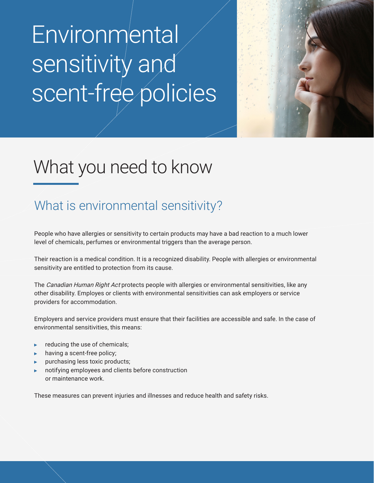# **Environmental** sensitivity and scent-free policies



## What you need to know

### What is environmental sensitivity?

People who have allergies or sensitivity to certain products may have a bad reaction to a much lower level of chemicals, perfumes or environmental triggers than the average person.

Their reaction is a medical condition. It is a recognized disability. People with allergies or environmental sensitivity are entitled to protection from its cause.

The Canadian Human Right Act protects people with allergies or environmental sensitivities, like any other disability. Employes or clients with environmental sensitivities can ask employers or service providers for accommodation.

Employers and service providers must ensure that their facilities are accessible and safe. In the case of environmental sensitivities, this means:

- reducing the use of chemicals;
- having a scent-free policy;
- purchasing less toxic products;
- notifying employees and clients before construction or maintenance work.

These measures can prevent injuries and illnesses and reduce health and safety risks.